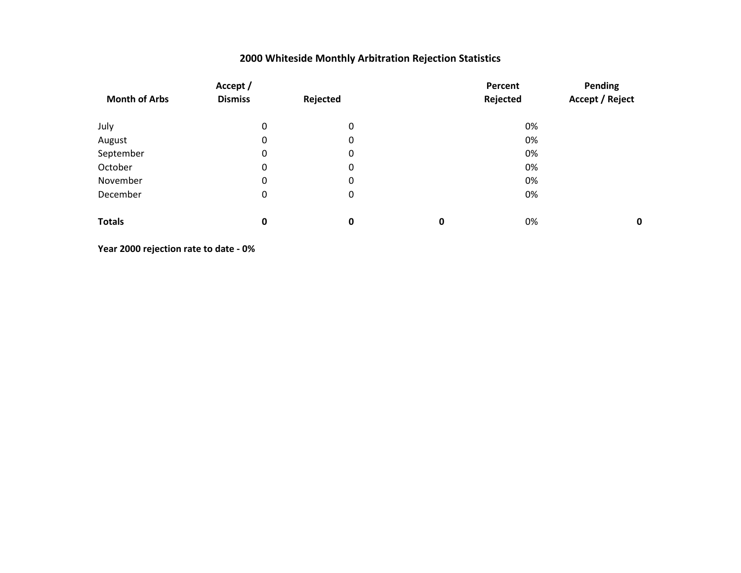| Accept /             |                  |                  |   | Percent  |                        |  |
|----------------------|------------------|------------------|---|----------|------------------------|--|
| <b>Month of Arbs</b> | <b>Dismiss</b>   | Rejected         |   | Rejected | <b>Accept / Reject</b> |  |
| July                 | 0                | $\boldsymbol{0}$ |   | 0%       |                        |  |
| August               | 0                | $\boldsymbol{0}$ |   | 0%       |                        |  |
| September            | 0                | 0                |   | 0%       |                        |  |
| October              | $\boldsymbol{0}$ | $\boldsymbol{0}$ |   | 0%       |                        |  |
| November             | 0                | $\boldsymbol{0}$ |   | 0%       |                        |  |
| December             | $\boldsymbol{0}$ | $\boldsymbol{0}$ |   | 0%       |                        |  |
| <b>Totals</b>        | 0                | $\mathbf 0$      | 0 | 0%       | $\mathbf 0$            |  |

**Year 2000 rejection rate to date - 0%**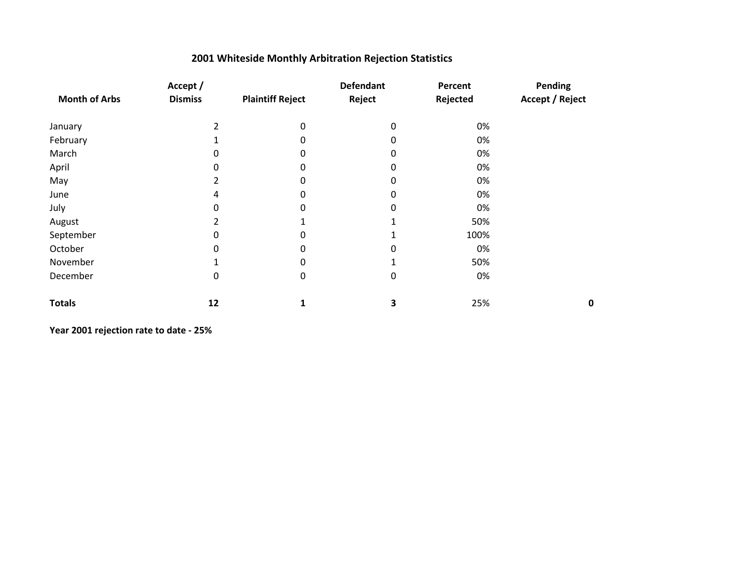|                      | Accept /       |                         | <b>Defendant</b> | Percent  | Pending                |
|----------------------|----------------|-------------------------|------------------|----------|------------------------|
| <b>Month of Arbs</b> | <b>Dismiss</b> | <b>Plaintiff Reject</b> | Reject           | Rejected | <b>Accept / Reject</b> |
| January              | 2              | $\mathbf 0$             | 0                | 0%       |                        |
| February             |                | 0                       | 0                | 0%       |                        |
| March                | 0              | 0                       | 0                | 0%       |                        |
| April                | 0              | 0                       | 0                | 0%       |                        |
| May                  | 2              | 0                       | 0                | 0%       |                        |
| June                 | 4              | 0                       | 0                | 0%       |                        |
| July                 | 0              | 0                       | 0                | 0%       |                        |
| August               | 2              |                         |                  | 50%      |                        |
| September            | 0              | 0                       |                  | 100%     |                        |
| October              | 0              | 0                       | 0                | 0%       |                        |
| November             |                | 0                       |                  | 50%      |                        |
| December             | 0              | 0                       | $\mathbf 0$      | 0%       |                        |
| <b>Totals</b>        | 12             | 1                       | 3                | 25%      | $\mathbf 0$            |

**Year 2001 rejection rate to date - 25%**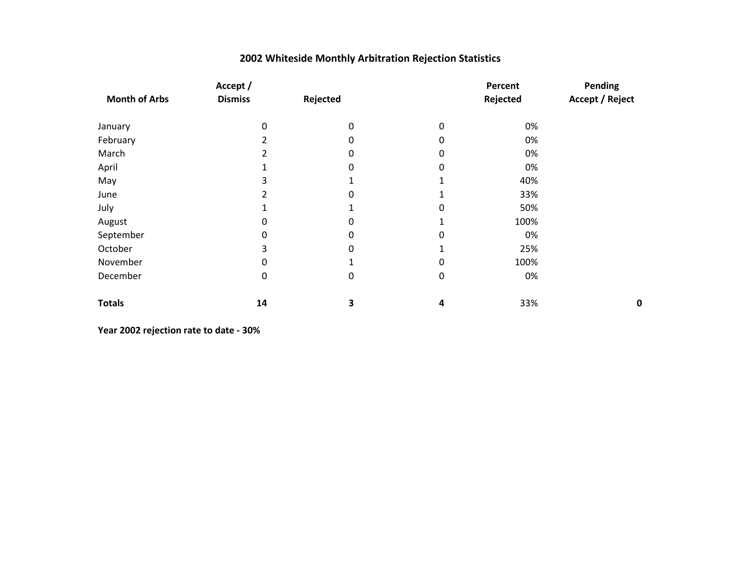| Accept /             |                  |          |             | Percent  | Pending                |
|----------------------|------------------|----------|-------------|----------|------------------------|
| <b>Month of Arbs</b> | <b>Dismiss</b>   | Rejected |             | Rejected | <b>Accept / Reject</b> |
| January              | 0                | $\Omega$ | $\Omega$    | 0%       |                        |
| February             | 2                | 0        | 0           | 0%       |                        |
| March                | 2                | 0        | 0           | 0%       |                        |
| April                |                  | 0        | 0           | 0%       |                        |
| May                  | 3                |          |             | 40%      |                        |
| June                 |                  | 0        |             | 33%      |                        |
| July                 |                  |          | 0           | 50%      |                        |
| August               | 0                | 0        | 1           | 100%     |                        |
| September            | 0                | 0        | 0           | 0%       |                        |
| October              | 3                | 0        |             | 25%      |                        |
| November             | 0                |          | 0           | 100%     |                        |
| December             | $\boldsymbol{0}$ | 0        | $\mathbf 0$ | 0%       |                        |
| <b>Totals</b>        | 14               | 3        | 4           | 33%      | 0                      |

**Year 2002 rejection rate to date - 30%**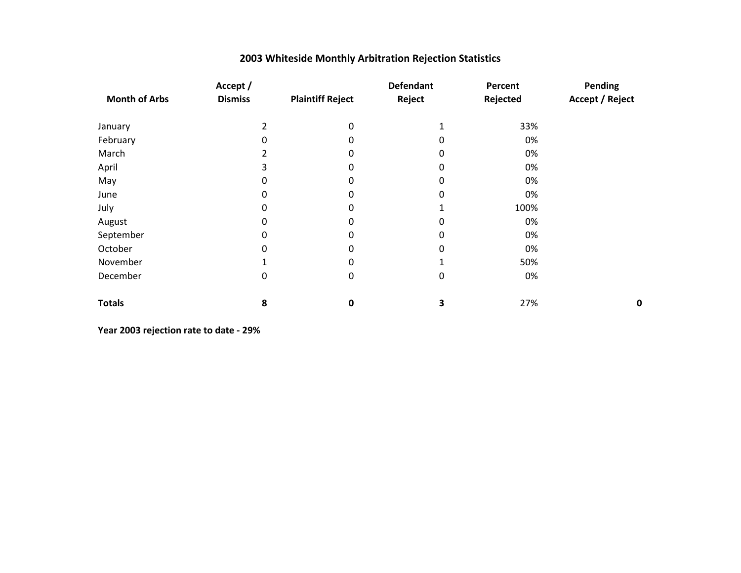| 2003 Whiteside Monthly Arbitration Rejection Statistics |  |  |  |
|---------------------------------------------------------|--|--|--|
|---------------------------------------------------------|--|--|--|

|                      | Accept /       |                         | <b>Defendant</b> | Percent  | Pending                |
|----------------------|----------------|-------------------------|------------------|----------|------------------------|
| <b>Month of Arbs</b> | <b>Dismiss</b> | <b>Plaintiff Reject</b> | Reject           | Rejected | <b>Accept / Reject</b> |
| January              | 2              | 0                       | 1                | 33%      |                        |
| February             | 0              | 0                       | 0                | 0%       |                        |
| March                | 2              | 0                       | 0                | 0%       |                        |
| April                | 3              | 0                       | 0                | 0%       |                        |
| May                  | 0              | 0                       | 0                | 0%       |                        |
| June                 | 0              | 0                       | 0                | 0%       |                        |
| July                 | 0              | 0                       |                  | 100%     |                        |
| August               | 0              | 0                       | 0                | 0%       |                        |
| September            | 0              | 0                       | 0                | 0%       |                        |
| October              | $\Omega$       | $\Omega$                | 0                | 0%       |                        |
| November             |                | 0                       |                  | 50%      |                        |
| December             | 0              | 0                       | $\mathbf 0$      | 0%       |                        |
| <b>Totals</b>        | 8              | 0                       | 3                | 27%      | 0                      |

**Year 2003 rejection rate to date - 29%**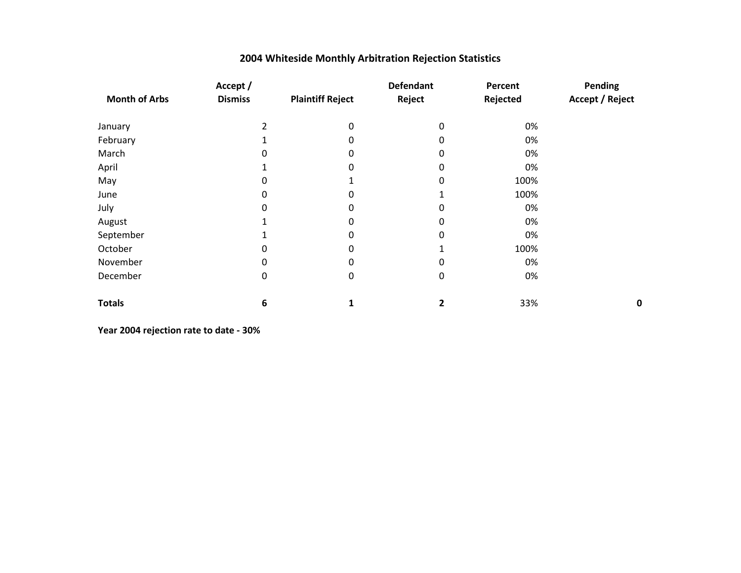|                      | Accept /       |                         | <b>Defendant</b> | Percent  | Pending                |
|----------------------|----------------|-------------------------|------------------|----------|------------------------|
| <b>Month of Arbs</b> | <b>Dismiss</b> | <b>Plaintiff Reject</b> | Reject           | Rejected | <b>Accept / Reject</b> |
| January              | 2              | $\Omega$                | $\mathbf 0$      | 0%       |                        |
| February             |                | 0                       | 0                | 0%       |                        |
| March                | 0              | 0                       | 0                | 0%       |                        |
| April                |                | 0                       | 0                | 0%       |                        |
| May                  | 0              |                         | $\Omega$         | 100%     |                        |
| June                 | 0              | 0                       |                  | 100%     |                        |
| July                 | 0              | 0                       | 0                | 0%       |                        |
| August               |                | 0                       | 0                | 0%       |                        |
| September            |                | 0                       | 0                | 0%       |                        |
| October              | 0              | 0                       |                  | 100%     |                        |
| November             | 0              | 0                       | 0                | 0%       |                        |
| December             | 0              | 0                       | 0                | 0%       |                        |
| <b>Totals</b>        | 6              | 1                       | 2                | 33%      | 0                      |

**Year 2004 rejection rate to date - 30%**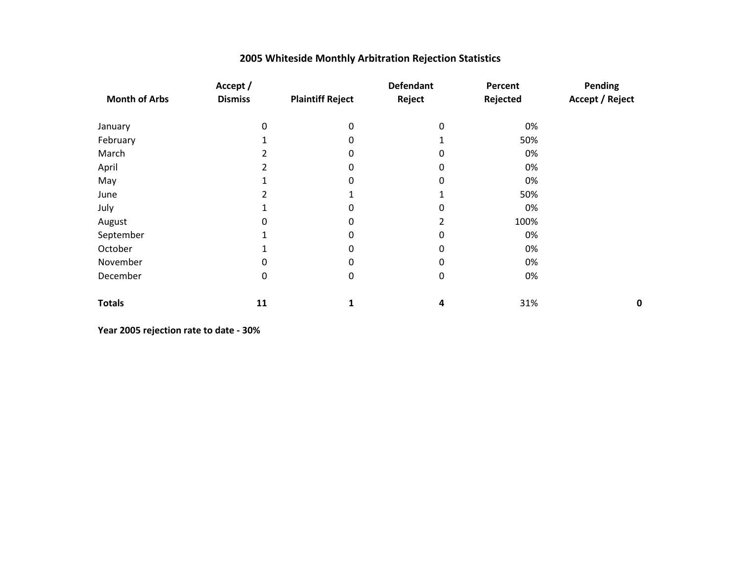| 2005 Whiteside Monthly Arbitration Rejection Statistics |  |
|---------------------------------------------------------|--|
|---------------------------------------------------------|--|

|                      | Accept /       |                         | <b>Defendant</b> | Percent  | Pending                |
|----------------------|----------------|-------------------------|------------------|----------|------------------------|
| <b>Month of Arbs</b> | <b>Dismiss</b> | <b>Plaintiff Reject</b> | Reject           | Rejected | <b>Accept / Reject</b> |
| January              | 0              | 0                       | $\mathbf 0$      | 0%       |                        |
| February             |                | 0                       |                  | 50%      |                        |
| March                | 2              | 0                       | 0                | 0%       |                        |
| April                |                | 0                       | 0                | 0%       |                        |
| May                  |                | 0                       | 0                | 0%       |                        |
| June                 |                |                         |                  | 50%      |                        |
| July                 |                | 0                       | 0                | 0%       |                        |
| August               | 0              | 0                       | 2                | 100%     |                        |
| September            |                | 0                       | 0                | 0%       |                        |
| October              |                | 0                       | 0                | 0%       |                        |
| November             | 0              | 0                       | 0                | 0%       |                        |
| December             | 0              | 0                       | $\mathbf 0$      | 0%       |                        |
| <b>Totals</b>        | 11             | 1                       | 4                | 31%      | 0                      |

**Year 2005 rejection rate to date - 30%**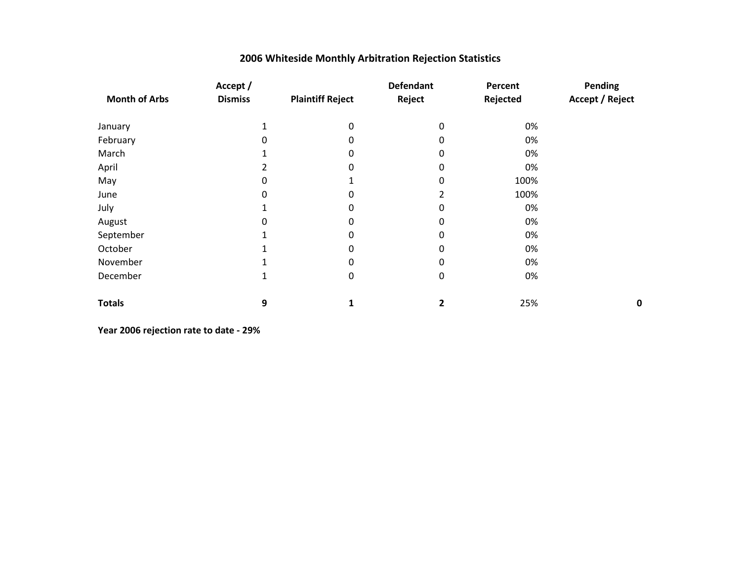|                      | Accept /       |                         | <b>Defendant</b> | Percent  | Pending                |
|----------------------|----------------|-------------------------|------------------|----------|------------------------|
| <b>Month of Arbs</b> | <b>Dismiss</b> | <b>Plaintiff Reject</b> | Reject           | Rejected | <b>Accept / Reject</b> |
| January              |                | 0                       | $\mathbf 0$      | 0%       |                        |
| February             | 0              | 0                       | 0                | 0%       |                        |
| March                | 1              | 0                       | 0                | 0%       |                        |
| April                | 2              | 0                       | 0                | 0%       |                        |
| May                  | 0              |                         | 0                | 100%     |                        |
| June                 | 0              | 0                       | 2                | 100%     |                        |
| July                 |                | 0                       | 0                | 0%       |                        |
| August               | 0              | 0                       | 0                | 0%       |                        |
| September            |                | 0                       | 0                | 0%       |                        |
| October              |                | 0                       | 0                | 0%       |                        |
| November             |                | 0                       | 0                | 0%       |                        |
| December             | 1              | 0                       | $\mathbf 0$      | 0%       |                        |
| <b>Totals</b>        | 9              | 1                       | 2                | 25%      | 0                      |

**Year 2006 rejection rate to date - 29%**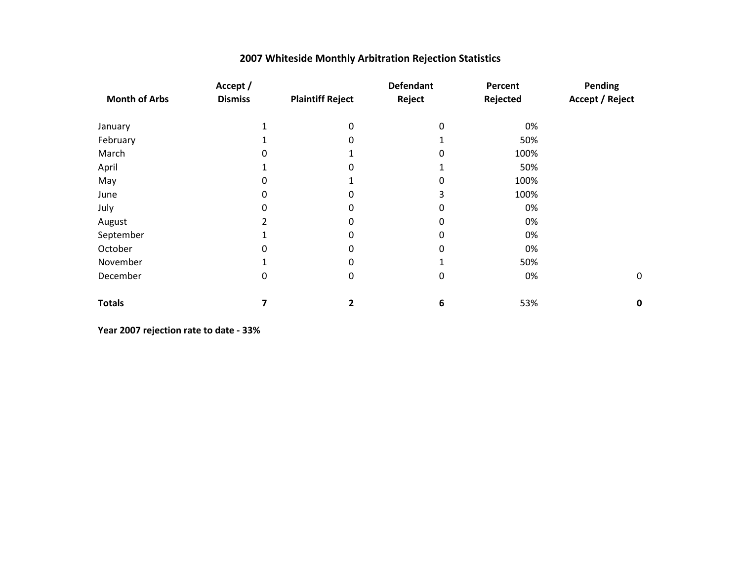|  |  |  | 2007 Whiteside Monthly Arbitration Rejection Statistics |  |  |
|--|--|--|---------------------------------------------------------|--|--|
|--|--|--|---------------------------------------------------------|--|--|

|                      | Accept /       |                         | <b>Defendant</b> | Percent  | Pending          |
|----------------------|----------------|-------------------------|------------------|----------|------------------|
| <b>Month of Arbs</b> | <b>Dismiss</b> | <b>Plaintiff Reject</b> | Reject           | Rejected | Accept / Reject  |
| January              |                | 0                       | 0                | 0%       |                  |
| February             |                | 0                       |                  | 50%      |                  |
| March                | 0              |                         | 0                | 100%     |                  |
| April                |                | 0                       |                  | 50%      |                  |
| May                  | 0              |                         | 0                | 100%     |                  |
| June                 | 0              | 0                       | 3                | 100%     |                  |
| July                 | 0              | 0                       | 0                | 0%       |                  |
| August               | 2              | 0                       | 0                | 0%       |                  |
| September            |                | 0                       | 0                | 0%       |                  |
| October              | 0              | 0                       | 0                | 0%       |                  |
| November             |                | 0                       |                  | 50%      |                  |
| December             | 0              | 0                       | 0                | 0%       | $\boldsymbol{0}$ |
| <b>Totals</b>        | 7              | 2                       | 6                | 53%      | 0                |

**Year 2007 rejection rate to date - 33%**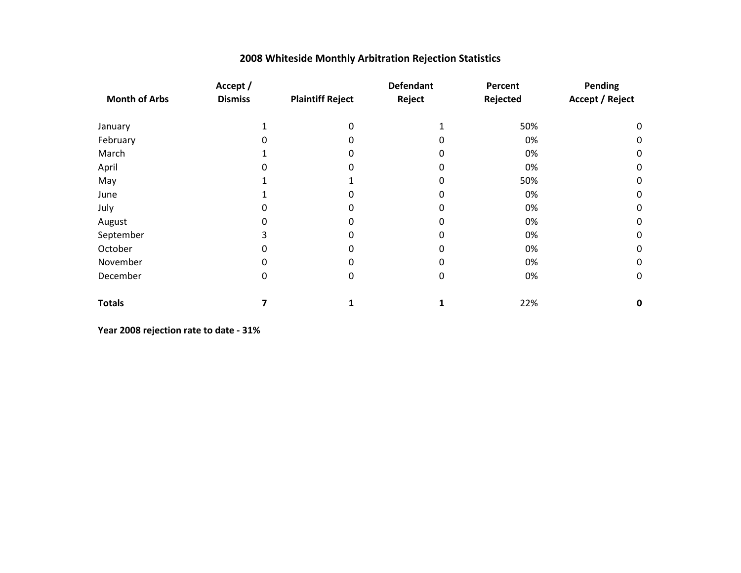|                      | Accept /       |                         | <b>Defendant</b> | Percent  | Pending                |
|----------------------|----------------|-------------------------|------------------|----------|------------------------|
| <b>Month of Arbs</b> | <b>Dismiss</b> | <b>Plaintiff Reject</b> | Reject           | Rejected | <b>Accept / Reject</b> |
| January              |                | 0                       |                  | 50%      | 0                      |
| February             |                | 0                       | 0                | 0%       | 0                      |
| March                |                | 0                       | 0                | 0%       | 0                      |
| April                |                | 0                       | 0                | 0%       | $\boldsymbol{0}$       |
| May                  |                |                         | 0                | 50%      | 0                      |
| June                 |                | 0                       | 0                | 0%       | 0                      |
| July                 |                | 0                       | 0                | 0%       | $\boldsymbol{0}$       |
| August               | 0              | 0                       | 0                | 0%       | $\boldsymbol{0}$       |
| September            |                | 0                       | 0                | 0%       | $\boldsymbol{0}$       |
| October              | 0              | 0                       | 0                | 0%       | 0                      |
| November             | 0              | 0                       | 0                | 0%       | $\boldsymbol{0}$       |
| December             | $\Omega$       | 0                       | 0                | 0%       | $\mathbf 0$            |
| <b>Totals</b>        |                |                         |                  | 22%      | $\mathbf 0$            |

**Year 2008 rejection rate to date - 31%**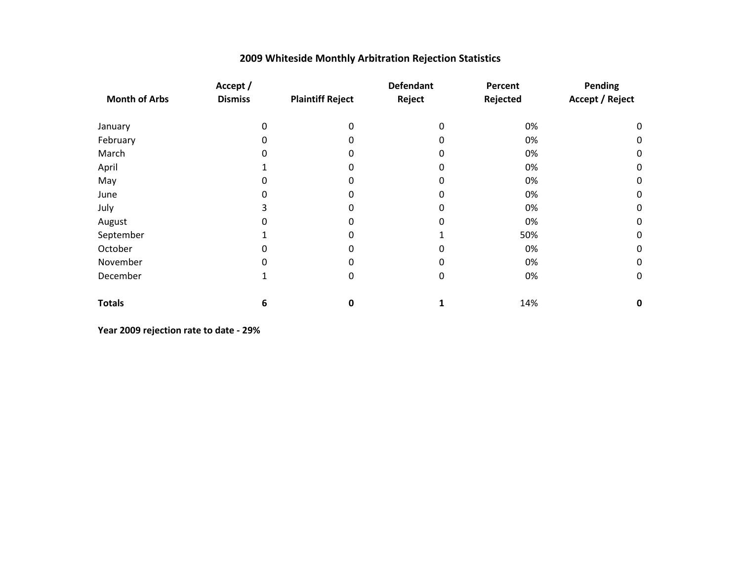|                      | Accept /       |                         | <b>Defendant</b> | Percent  | Pending                |
|----------------------|----------------|-------------------------|------------------|----------|------------------------|
| <b>Month of Arbs</b> | <b>Dismiss</b> | <b>Plaintiff Reject</b> | Reject           | Rejected | <b>Accept / Reject</b> |
| January              | 0              | 0                       | 0                | 0%       | 0                      |
| February             | 0              | 0                       | 0                | 0%       | 0                      |
| March                | 0              | 0                       | 0                | 0%       | $\boldsymbol{0}$       |
| April                |                | 0                       | 0                | 0%       | $\boldsymbol{0}$       |
| May                  |                | 0                       | 0                | 0%       | 0                      |
| June                 |                | 0                       | 0                | 0%       | 0                      |
| July                 | 3              | 0                       | 0                | 0%       | $\boldsymbol{0}$       |
| August               | 0              | 0                       | 0                | 0%       | $\boldsymbol{0}$       |
| September            |                | 0                       |                  | 50%      | $\boldsymbol{0}$       |
| October              | O              | 0                       | 0                | 0%       | 0                      |
| November             |                | 0                       | 0                | 0%       | $\boldsymbol{0}$       |
| December             |                | 0                       | 0                | 0%       | $\mathbf 0$            |
| <b>Totals</b>        | 6              | 0                       |                  | 14%      | $\mathbf 0$            |

**Year 2009 rejection rate to date - 29%**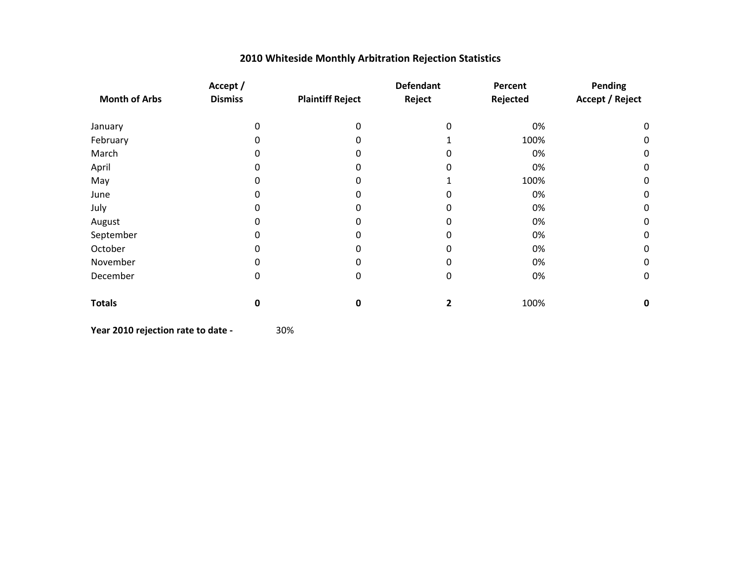| 2010 Whiteside Monthly Arbitration Rejection Statistics |  |  |  |
|---------------------------------------------------------|--|--|--|
|---------------------------------------------------------|--|--|--|

|                      | Accept /       |                         | <b>Defendant</b> | Percent  | Pending                |
|----------------------|----------------|-------------------------|------------------|----------|------------------------|
| <b>Month of Arbs</b> | <b>Dismiss</b> | <b>Plaintiff Reject</b> | Reject           | Rejected | <b>Accept / Reject</b> |
| January              | 0              | 0                       |                  | 0%       | 0                      |
| February             | 0              |                         |                  | 100%     | 0                      |
| March                | 0              |                         |                  | 0%       | 0                      |
| April                |                |                         |                  | 0%       | 0                      |
| May                  |                |                         |                  | 100%     | 0                      |
| June                 |                |                         |                  | 0%       | 0                      |
| July                 |                |                         |                  | 0%       | 0                      |
| August               |                |                         |                  | 0%       | 0                      |
| September            |                |                         |                  | 0%       | 0                      |
| October              |                |                         |                  | 0%       | $\boldsymbol{0}$       |
| November             | 0              |                         |                  | 0%       | 0                      |
| December             | 0              | 0                       | 0                | 0%       | 0                      |
| <b>Totals</b>        | 0              | 0                       |                  | 100%     | 0                      |

**Year 2010 rejection rate to date -** 30%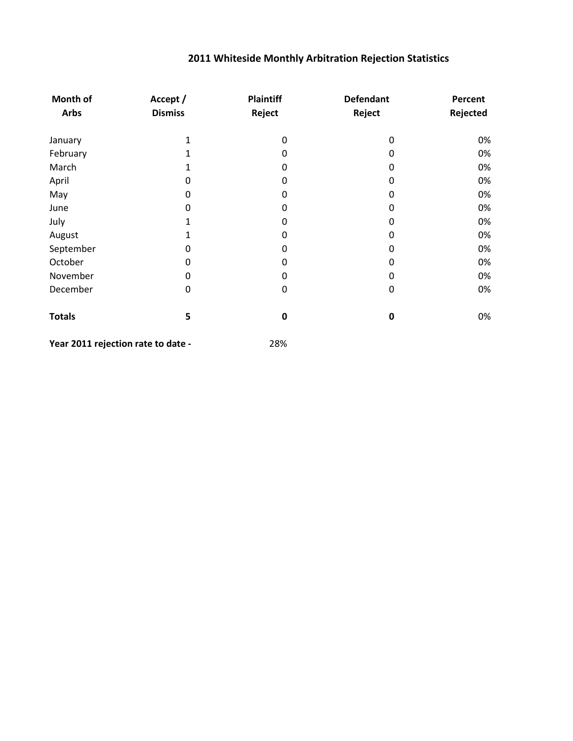| Month of                           | Accept /       | <b>Plaintiff</b> | <b>Defendant</b> | Percent  |
|------------------------------------|----------------|------------------|------------------|----------|
| <b>Arbs</b>                        | <b>Dismiss</b> | Reject           | Reject           | Rejected |
| January                            | 1              | 0                | 0                | 0%       |
| February                           | 1              | 0                | 0                | 0%       |
| March                              | 1              | 0                | $\mathbf{0}$     | 0%       |
| April                              | 0              | 0                | $\mathbf{0}$     | 0%       |
| May                                | 0              | 0                | $\mathbf{0}$     | 0%       |
| June                               | 0              | 0                | 0                | 0%       |
| July                               | 1              | 0                | 0                | 0%       |
| August                             |                | 0                | 0                | 0%       |
| September                          | 0              | 0                | 0                | 0%       |
| October                            | 0              | $\boldsymbol{0}$ | 0                | 0%       |
| November                           | 0              | $\boldsymbol{0}$ | 0                | 0%       |
| December                           | 0              | $\boldsymbol{0}$ | $\mathbf 0$      | 0%       |
| <b>Totals</b>                      | 5              | $\mathbf 0$      | $\bf{0}$         | 0%       |
| Year 2011 rejection rate to date - |                | 28%              |                  |          |